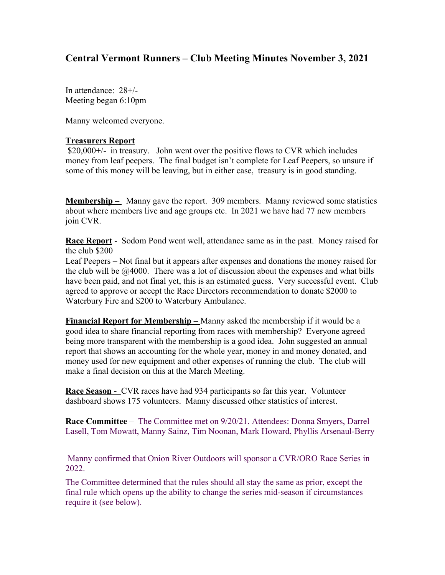## **Central Vermont Runners – Club Meeting Minutes November 3, 2021**

In attendance: 28+/- Meeting began 6:10pm

Manny welcomed everyone.

## **Treasurers Report**

 \$20,000+/- in treasury. John went over the positive flows to CVR which includes money from leaf peepers. The final budget isn't complete for Leaf Peepers, so unsure if some of this money will be leaving, but in either case, treasury is in good standing.

**Membership –** Manny gave the report. 309 members. Manny reviewed some statistics about where members live and age groups etc. In 2021 we have had 77 new members join CVR.

**Race Report** - Sodom Pond went well, attendance same as in the past. Money raised for the club \$200

Leaf Peepers – Not final but it appears after expenses and donations the money raised for the club will be  $\omega$  4000. There was a lot of discussion about the expenses and what bills have been paid, and not final yet, this is an estimated guess. Very successful event. Club agreed to approve or accept the Race Directors recommendation to donate \$2000 to Waterbury Fire and \$200 to Waterbury Ambulance.

**Financial Report for Membership –** Manny asked the membership if it would be a good idea to share financial reporting from races with membership? Everyone agreed being more transparent with the membership is a good idea. John suggested an annual report that shows an accounting for the whole year, money in and money donated, and money used for new equipment and other expenses of running the club. The club will make a final decision on this at the March Meeting.

**Race Season -** CVR races have had 934 participants so far this year. Volunteer dashboard shows 175 volunteers. Manny discussed other statistics of interest.

**Race Committee** – The Committee met on 9/20/21. Attendees: Donna Smyers, Darrel Lasell, Tom Mowatt, Manny Sainz, Tim Noonan, Mark Howard, Phyllis Arsenaul-Berry

 Manny confirmed that Onion River Outdoors will sponsor a CVR/ORO Race Series in 2022.

The Committee determined that the rules should all stay the same as prior, except the final rule which opens up the ability to change the series mid-season if circumstances require it (see below).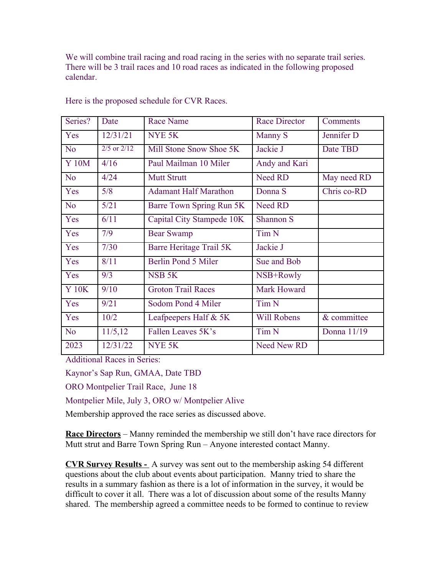We will combine trail racing and road racing in the series with no separate trail series. There will be 3 trail races and 10 road races as indicated in the following proposed calendar.

| Series?        | Date            | <b>Race Name</b>               | <b>Race Director</b> | Comments    |
|----------------|-----------------|--------------------------------|----------------------|-------------|
| Yes            | 12/31/21        | NYE <sub>5K</sub>              | Manny S              | Jennifer D  |
| N <sub>o</sub> | $2/5$ or $2/12$ | Mill Stone Snow Shoe 5K        | Jackie J             | Date TBD    |
| <b>Y</b> 10M   | 4/16            | Paul Mailman 10 Miler          | Andy and Kari        |             |
| N <sub>o</sub> | 4/24            | <b>Mutt Strutt</b>             | <b>Need RD</b>       | May need RD |
| Yes            | 5/8             | <b>Adamant Half Marathon</b>   | Donna S              | Chris co-RD |
| N <sub>o</sub> | 5/21            | Barre Town Spring Run 5K       | Need RD              |             |
| Yes            | 6/11            | Capital City Stampede 10K      | Shannon S            |             |
| Yes            | 7/9             | <b>Bear Swamp</b>              | Tim <sub>N</sub>     |             |
| Yes            | 7/30            | <b>Barre Heritage Trail 5K</b> | Jackie J             |             |
| Yes            | 8/11            | Berlin Pond 5 Miler            | Sue and Bob          |             |
| Yes            | 9/3             | NSB <sub>5</sub> K             | NSB+Rowly            |             |
| <b>Y 10K</b>   | 9/10            | <b>Groton Trail Races</b>      | Mark Howard          |             |
| Yes            | 9/21            | Sodom Pond 4 Miler             | Tim <sub>N</sub>     |             |
| Yes            | 10/2            | Leafpeepers Half & 5K          | <b>Will Robens</b>   | & committee |
| N <sub>o</sub> | 11/5,12         | Fallen Leaves 5K's             | Tim <sub>N</sub>     | Donna 11/19 |
| 2023           | 12/31/22        | NYE <sub>5K</sub>              | <b>Need New RD</b>   |             |

Here is the proposed schedule for CVR Races.

Additional Races in Series:

Kaynor's Sap Run, GMAA, Date TBD

ORO Montpelier Trail Race, June 18

Montpelier Mile, July 3, ORO w/ Montpelier Alive

Membership approved the race series as discussed above.

**Race Directors** – Manny reminded the membership we still don't have race directors for Mutt strut and Barre Town Spring Run – Anyone interested contact Manny.

**CVR Survey Results -** A survey was sent out to the membership asking 54 different questions about the club about events about participation. Manny tried to share the results in a summary fashion as there is a lot of information in the survey, it would be difficult to cover it all. There was a lot of discussion about some of the results Manny shared. The membership agreed a committee needs to be formed to continue to review